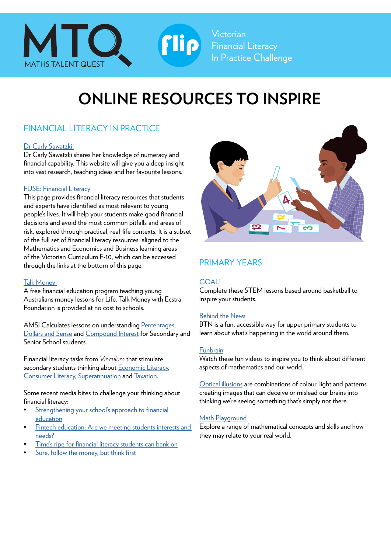

Victorian Financial Literacy In Practice Challenge

# **ONLINE RESOURCES TO INSPIRE**

Flip

## FINANCIAL LITERACY IN PRACTICE

#### Dr Carly Sawatzki

Dr Carly Sawatzki shares her knowledge of numeracy and financial capability. This website will give you a deep insight into vast research, teaching ideas and her favourite lessons.

#### [FUSE: Financial Literacy](https://fuse.education.vic.gov.au/Pages/financialliteracy)

This page provides financial literacy resources that students and experts have identified as most relevant to young people's lives. It will help your students make good financial decisions and avoid the most common pitfalls and areas of risk, explored through practical, real-life contexts. It is a subset of the full set of financial literacy resources, aligned to the Mathematics and Economics and Business learning areas of the Victorian Curriculum F-10, which can be accessed through the links at the bottom of this page.

#### [Talk Money](https://talkmoney.org.au)

A free financial education program teaching young Australians money lessons for Life. Talk Money with Ecstra Foundation is provided at no cost to schools.

AMSI Calculates lessons on understanding [Percentages](https://calculate.org.au/2020/07/21/percentages/?fbclid=IwAR3QMJGfJqPtnpsBHQSuiz0Y9UXL4wFptrw6A18z3100oRUhfPB1TS145yw), [Dollars and Sense](https://calculate.org.au/2016/06/17/mrs-sims-dollars-sense/) and [Compound Interest](https://calculate.org.au/2020/05/04/compound-interest/?fbclid=IwAR3zgUuNX4O-Dxp-B5Dqdvn3P1W_5WEdSEGiOvWu1AU7o8mb_bb11k9FQbY) for Secondary and Senior School students.

Financial literacy tasks from *Vinculum* that stimulate secondary students thinking about [Economic Literacy,](https://www.mav.vic.edu.au/Tenant/C0000019/00000001/downloads/Resources/Maths%20Treats/mathtreats-Vinculum-57-4-2020.pdf) [Consumer Literacy](https://www.mav.vic.edu.au/Tenant/C0000019/00000001/downloads/Resources/Maths%20Treats/mathtreats-Vinculum-57-3-2020.pdf), [Superannuation](https://www.mav.vic.edu.au/Tenant/C0000019/00000001/downloads/Resources/Maths%20Treats/mathtreats-Vinculum-57-2-2020.pdf) and [Taxation.](https://www.mav.vic.edu.au/Tenant/C0000019/00000001/downloads/Resources/Maths%20Treats/mathtreats-Vinculum-57-1-2020.pdf)

Some recent media bites to challenge your thinking about financial literacy:

- Strengthening your school's approach to financial [education](https://aus01.safelinks.protection.outlook.com/?url=https%3A%2F%2Fwww.teachermagazine.com%2Fau_en%2Farticles%2Fstrengthening-your-schools-approach-to-financial-education&data=04%7C01%7Cjbowden%40mav.vic.edu.au%7Cb57b235ecf344fab245c08da0c85db72%7C0bc74823dc4d4848ae36467459dfea27%7C0%7C0%7C637836067651256893%7CUnknown%7CTWFpbGZsb3d8eyJWIjoiMC4wLjAwMDAiLCJQIjoiV2luMzIiLCJBTiI6Ik1haWwiLCJXVCI6Mn0%3D%7C3000&sdata=9tqGE%2B3Flkz8eqT6ZCPcFgqUjAiVpZPPnnUwX%2BuL2kI%3D&reserved=0)
- Fintech education: Are we meeting students interests and [needs?](https://aus01.safelinks.protection.outlook.com/?url=https%3A%2F%2Fwww.teachermagazine.com%2Fau_en%2Farticles%2Ffintech-education-meeting-students-interests-and-needs&data=04%7C01%7Cjbowden%40mav.vic.edu.au%7Cb57b235ecf344fab245c08da0c85db72%7C0bc74823dc4d4848ae36467459dfea27%7C0%7C0%7C637836067651256893%7CUnknown%7CTWFpbGZsb3d8eyJWIjoiMC4wLjAwMDAiLCJQIjoiV2luMzIiLCJBTiI6Ik1haWwiLCJXVCI6Mn0%3D%7C3000&sdata=psVE%2B6ah7wUpa5tIeRHxREao93h%2FfpabdXqDC30tve0%3D&reserved=0)
- [Time's ripe for financial literacy students can bank on](https://www.theage.com.au/politics/victoria/time-s-ripe-for-financial-literacy-students-can-bank-on-20210602-p57xdm.html?fbclid=IwAR2zwJsYJs7ZgbdHqAyBtDiyPtucL8GdYIsLNdgfZeYKT6G7e5n2G5mB5dY)
- [Sure, follow the money, but think first](https://aus01.safelinks.protection.outlook.com/?url=https%3A%2F%2Fwww.aare.edu.au%2Fblog%2F%3Fp%3D9823&data=04%7C01%7Cjbowden%40mav.vic.edu.au%7Cb57b235ecf344fab245c08da0c85db72%7C0bc74823dc4d4848ae36467459dfea27%7C0%7C0%7C637836067651256893%7CUnknown%7CTWFpbGZsb3d8eyJWIjoiMC4wLjAwMDAiLCJQIjoiV2luMzIiLCJBTiI6Ik1haWwiLCJXVCI6Mn0%3D%7C3000&sdata=Fdi1gJ3Fz%2B%2Fc596s%2FnI7CNWAxF2Q4woIPWBGHdQ0Jjg%3D&reserved=0)



### PRIMARY YEARS

#### [GOAL!](https://www.thehuddle.org.au/shot-challenge)

Complete these STEM lessons based around basketball to inspire your students.

#### [Behind the News](https://www.abc.net.au/btn/)

BTN is a fun, accessible way for upper primary students to learn about what's happening in the world around them.

#### [Funbrain](https://www.funbrain.com)

Watch these fun videos to inspire you to think about different aspects of mathematics and our world.

[Optical illusions](https://www.kidsnews.com.au/just-for-fun/this-mindboggling-spinning-optical-illusion-is-actually-completely-still-and-flat-but-our-brains-dont-see-it-that-way/news-story/fb919addffad552898f4a76de018588b) are combinations of colour, light and patterns creating images that can deceive or mislead our brains into thinking we're seeing something that's simply not there.

#### [Math Playground](https://www.mathplayground.com/mathvideos.html)

Explore a range of mathematical concepts and skills and how they may relate to your real world.